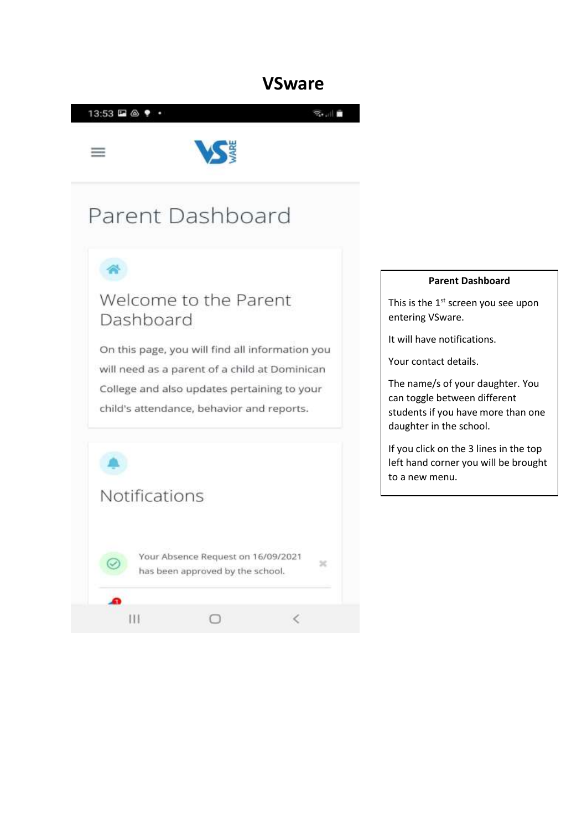

#### **Parent Dashboard**

This is the 1<sup>st</sup> screen you see upon entering VSware.

It will have notifications.

Your contact details.

The name/s of your daughter. You can toggle between different students if you have more than one daughter in the school.

If you click on the 3 lines in the top left hand corner you will be brought to a new menu.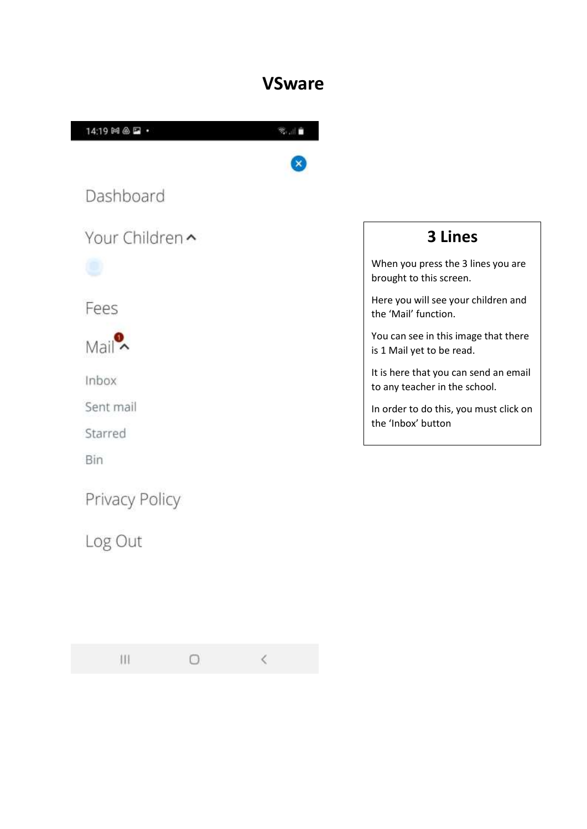

Privacy Policy

Log Out

 $\mathbf{III}$  $\circ$ 

 $\langle$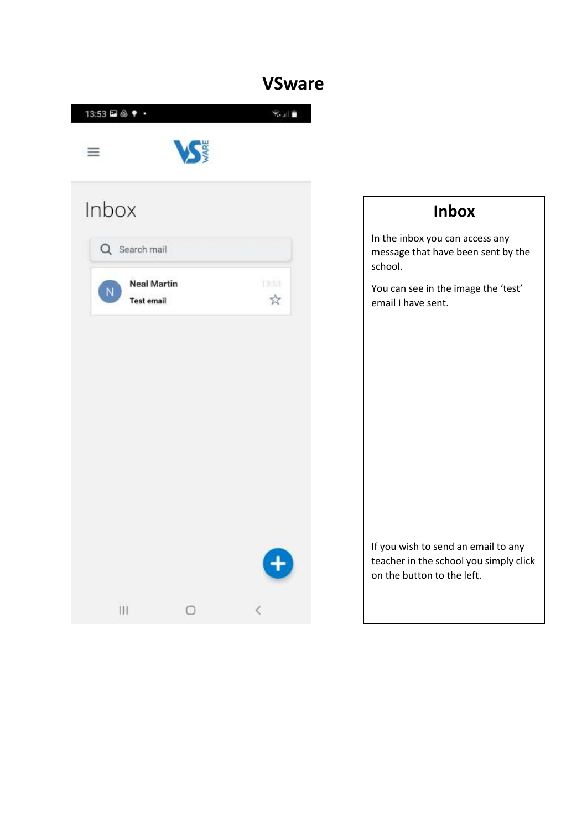|          | 13:53 □ △ ♥ ・                                          |            | 第二章                    |
|----------|--------------------------------------------------------|------------|------------------------|
| $\equiv$ |                                                        | <b>VSE</b> |                        |
|          | Inbox                                                  |            |                        |
|          | Q Search mail                                          |            |                        |
|          | <b>Neal Martin</b><br>$\mathsf N$<br><b>Test email</b> |            | 13:53<br>$\frac{1}{2}$ |
|          |                                                        |            |                        |
|          |                                                        |            |                        |
|          |                                                        |            | Đ                      |
|          | $\mathbf{III}$                                         | $\circ$    | $\bar{\zeta}$          |

### **Inbox**

In the inbox you can access any message that have been sent by the school.

You can see in the image the 'test' email I have sent.

If you wish to send an email to any teacher in the school you simply click on the button to the left.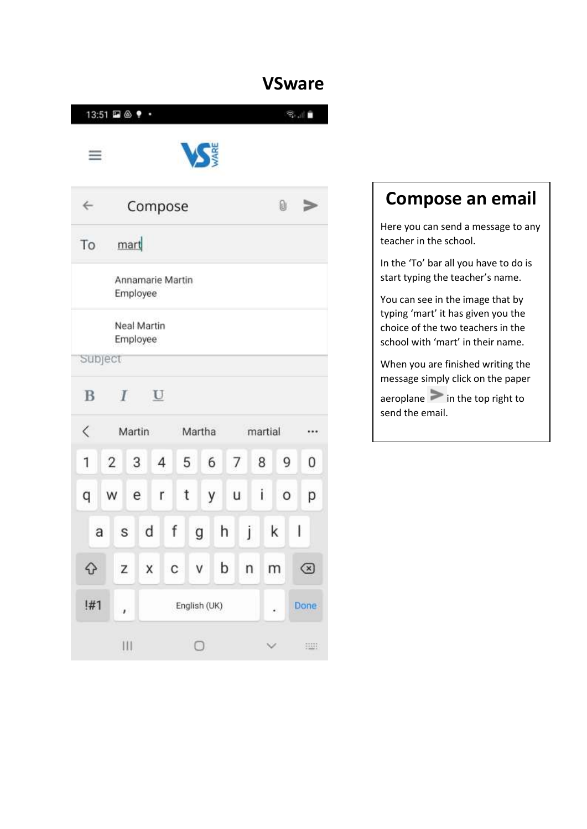| 13:51 2 4 +  |                |                  |         |              |   |     |              |         | S.III   |       |
|--------------|----------------|------------------|---------|--------------|---|-----|--------------|---------|---------|-------|
| $\equiv$     |                |                  |         |              |   |     |              |         |         |       |
| $\leftarrow$ |                | Compose          |         |              |   |     |              | 0       |         | ື     |
| To           | mart           |                  |         |              |   |     |              |         |         |       |
|              | Employee       | Annamarie Martin |         |              |   |     |              |         |         |       |
|              | Employee       | Neal Martin      |         |              |   |     |              |         |         |       |
| Subject      |                |                  |         |              |   |     |              |         |         |       |
| B            | I              | U                |         |              |   |     |              |         |         |       |
| $\lt$        | Martin         |                  |         | Martha       |   |     |              | martial |         |       |
| 1            | $\overline{2}$ | 3                | 4       | 5            |   | 6 7 | 8            |         | 9       | 0     |
| q            | W<br>e         | r                |         | t            | у | u   |              | İ.      | $\circ$ | р     |
| a            | $\mathsf S$    | d                | f       | g            |   | h   | Ĵ            | k       | ۱       |       |
| ♦            | Z              | $\times$         | $C$ $V$ |              |   | b   | $\mathsf{n}$ | m       |         | ☑     |
| !#1          | ı.             |                  |         | English (UK) |   |     |              | ×.      |         | Done  |
|              | III.           |                  |         | О            |   |     |              |         |         | 91033 |

## **Compose an email**

Here you can send a message to any teacher in the school.

In the 'To' bar all you have to do is start typing the teacher's name.

You can see in the image that by typing 'mart' it has given you the choice of the two teachers in the school with 'mart' in their name.

When you are finished writing the message simply click on the paper

 $a$ eroplane  $\geq$  in the top right to send the email.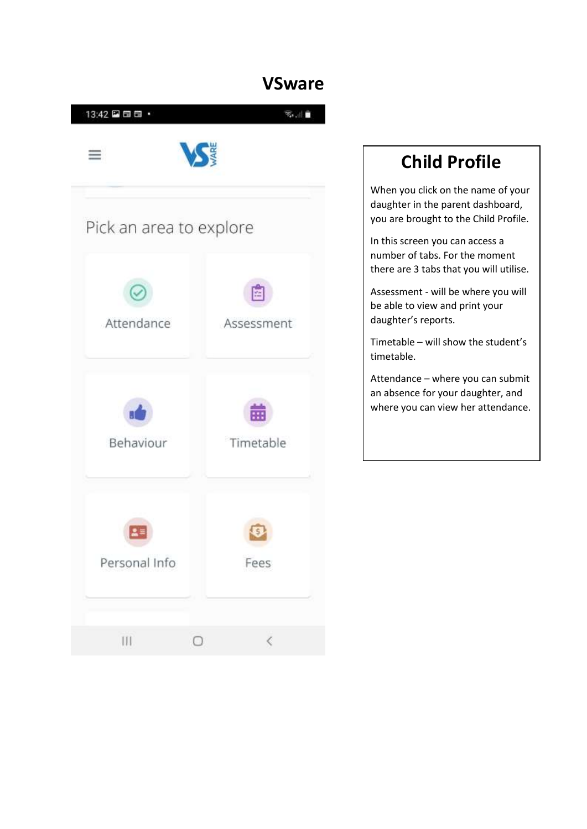

# **Child Profile**

When you click on the name of your daughter in the parent dashboard, you are brought to the Child Profile.

In this screen you can access a number of tabs. For the moment there are 3 tabs that you will utilise.

Assessment - will be where you will be able to view and print your daughter's reports.

Timetable – will show the student's timetable.

Attendance – where you can submit an absence for your daughter, and where you can view her attendance.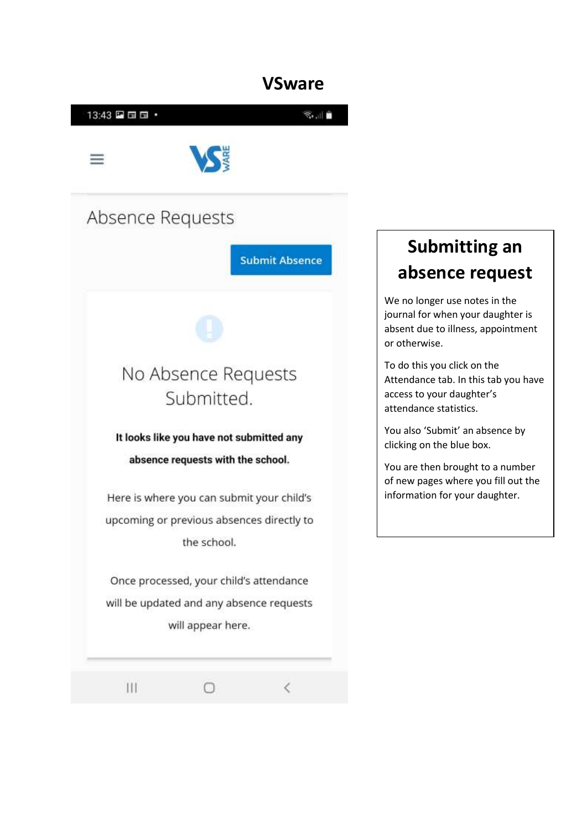$\overline{\left( \right. }%$ 



Ω

Ш

## **Submitting an absence request**

We no longer use notes in the journal for when your daughter is absent due to illness, appointment or otherwise.

To do this you click on the Attendance tab. In this tab you have access to your daughter's attendance statistics.

You also 'Submit' an absence by clicking on the blue box.

You are then brought to a number of new pages where you fill out the information for your daughter.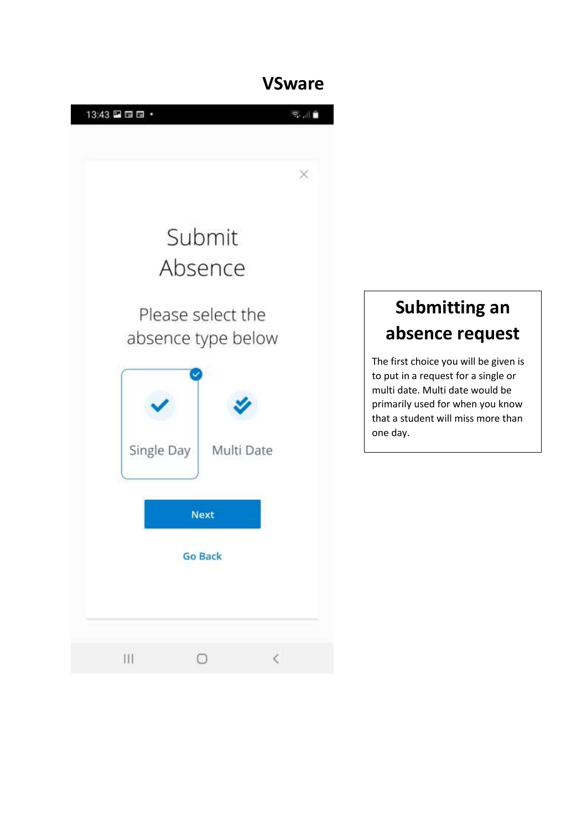

# **Submitting an absence request**

The first choice you will be given is to put in a request for a single or multi date. Multi date would be primarily used for when you know that a student will miss more than one day.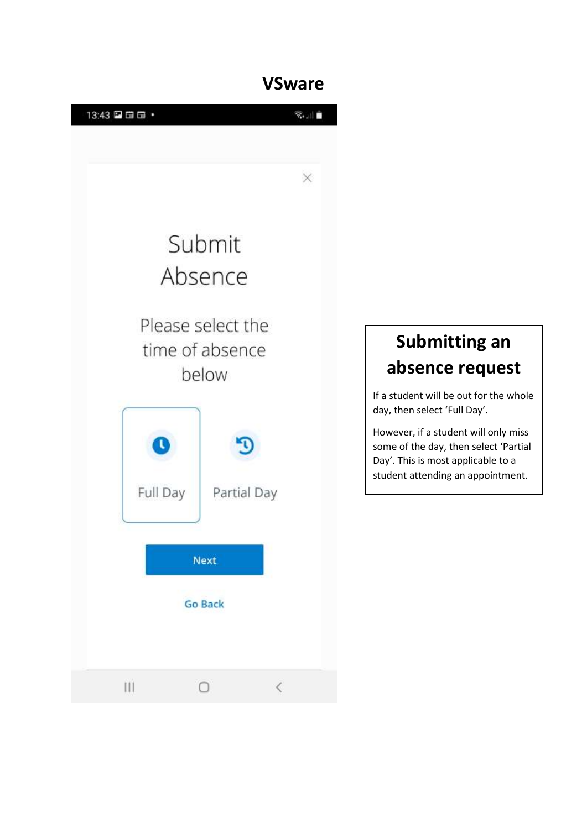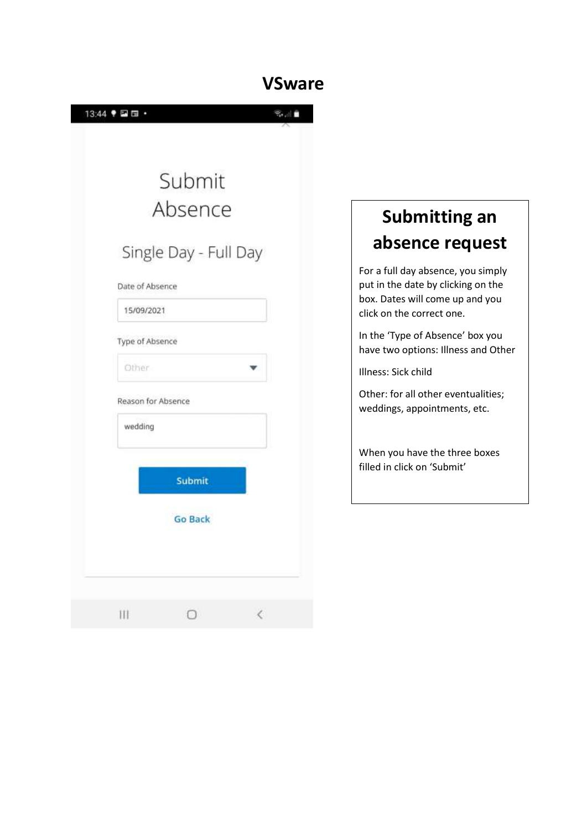| 13:44 ♥ 国面<br>F |                       | السابي        |
|-----------------|-----------------------|---------------|
|                 |                       |               |
|                 | Submit                |               |
|                 |                       |               |
|                 | Absence               |               |
|                 | Single Day - Full Day |               |
| Date of Absence |                       |               |
| 15/09/2021      |                       |               |
| Type of Absence |                       |               |
| Other           |                       |               |
|                 | Reason for Absence    |               |
| wedding         |                       |               |
|                 |                       |               |
|                 | Submit                |               |
|                 | <b>Go Back</b>        |               |
|                 |                       |               |
|                 |                       |               |
| iii             | $\bigcirc$            | $\hat{\zeta}$ |

# **Submitting an absence request**

For a full day absence, you simply put in the date by clicking on the box. Dates will come up and you click on the correct one.

In the 'Type of Absence' box you have two options: Illness and Other

Illness: Sick child

Other: for all other eventualities; weddings, appointments, etc.

When you have the three boxes filled in click on 'Submit'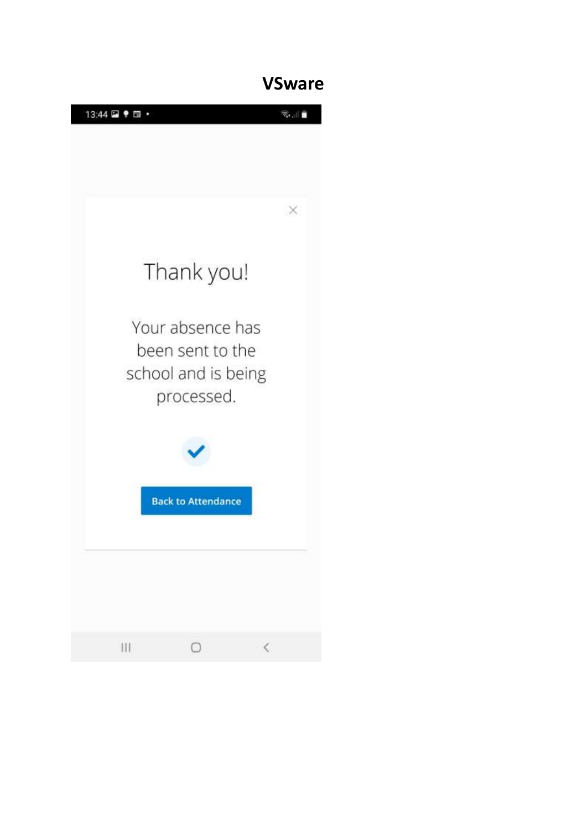